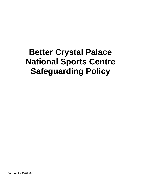# **Better Crystal Palace National Sports Centre Safeguarding Policy**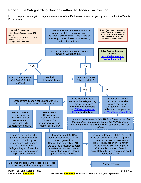## **Reporting a Safeguarding Concern within the Tennis Environment**

How to respond to allegations against a member of staff/volunteer or another young person within the Tennis Environment.



Last Updated: *insert date* **Next Review:** *insert date* (or earlier if there is a change in legislation) **Last**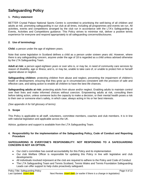# **Safeguarding Policy**

#### **1. Policy statement**

BETTER Crystal Palace National Sports Centre is committed to prioritising the well-being of all children and adults at risk, promoting safeguarding in our club at all times, including all programmes and events we run. All activities, events and competitions arranged by the club run in accordance with the LTA's Safeguarding at Events, Activities and Competitions guidance. This Policy strives to minimise risk, deliver a positive tennis experience for everyone and respond appropriately to all safeguarding concerns/disclosures.

#### **2. Use of terminology**

**Child:** a person under the age of eighteen years.

Note that some legislation in Scotland defines a child as a person under sixteen years old. However, where there is any safeguarding concern, anyone under the age of 18 is regarded as a child unless advised otherwise by the LTA Safeguarding Team.

**Adult at risk:** a person aged eighteen years or over who is, or may be, in need of community care services by reason of disability, age or illness; and is, or may be, unable to take care of, or unable to protect him or herself against abuse or neglect.

**Safeguarding children:** protecting children from abuse and neglect, preventing the impairment of children's health or development, ensuring that they grow up in circumstances consistent with the provision of safe and effective care, and taking action to enable all children to have the best life chances.

**Safeguarding adults at risk:** protecting adults from abuse and/or neglect. Enabling adults to maintain control over their lives and make informed choices without coercion. Empowering adults at risk, consulting them before taking action, unless someone lacks the capacity to make a decision, or their mental health poses a risk to their own or someone else's safety, in which case, always acting in his or her best interests.

*(See appendix A for full glossary of terms)*.

#### **3. Scope**

This Policy is applicable to all staff, volunteers, committee members, coaches and club members. It is in line with national legislation and applicable across the UK.

Advice, guidance and support is available from the LTA Safeguarding Team.

#### **4. Responsibility for the implementation of the Safeguarding Policy, Code of Conduct and Reporting Procedure**

#### **SAFEGUARDING IS EVERYONE'S RESPONSIBILITY: NOT RESPONDING TO A SAFEGUARDING CONCERN IS NOT AN OPTION.**

- Our club's committee has overall accountability for this Policy and its implementation
- Our club Welfare Officer is responsible for updating this Policy in line with legislative and club developments
- All individuals involved in/present at the club are required to adhere to the Policy and Code of Conduct
- The LTA Safeguarding Team and Tennis Scotland, Tennis Wales and Tennis Foundation Safeguarding Leads can offer support to help clubs proactively safeguard.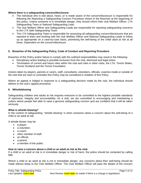#### **Where there is a safeguarding concern/disclosure:**

- The individual who is told about, hears, or is made aware of the concern/disclosure is responsible for following the Reporting a Safeguarding Concern Procedure shown in the flowchart at the beginning of this policy. Unless someone is in immediate danger, they should inform their club Welfare Officer, LTA Safeguarding Team or National Safeguarding Lead.
- The club Welfare Officer and Safeguarding Leads are responsible for reporting safeguarding concerns to the LTA Safe Safeguarding Team.
- The LTA Safeguarding Team is responsible for assessing all safeguarding concern/disclosures that are reported to them and working with the club Welfare Officer and National Safeguarding Leads to follow up as appropriate on a case-by-case basis, prioritising the well-being of the child/ adult at risk at all times. Dependent on the concern/disclosure.

#### **5. Breaches of the Safeguarding Policy, Code of Conduct and Reporting Procedure**

Breaches of this Policy and/or failure to comply with the outlined responsibilities may result in the following:

- Disciplinary action leading to possible exclusion from the club, dismissal and legal action
- Termination of current and future roles within the club and roles in other clubs, the LTA, Tennis Wales, Tennis Scotland and the Tennis Foundation*.*

Actions taken by players, parents or carers, staff, consultants, volunteers, officials, coaches inside or outside of the club that are seen to contradict this Policy may be considered a violation of this Policy.

Where an appeal is lodged in response to a safeguarding decision made by the club, the individual should adhere to the club's appeal procedure*.*

#### **6. Whistleblowing**

Safeguarding children and adults at risk requires everyone to be committed to the highest possible standards of openness, integrity and accountability. As a club, we are committed to encouraging and maintaining a culture where people feel able to raise a genuine safeguarding concern and are confident that it will be taken seriously.

#### **What is whistle blowing?**

In the context of safeguarding, "whistle blowing" is when someone raises a concern about the well-being of a child or an adult at risk.

A whistle blower may be:

- a player;
- a volunteer:
- a coach;
- other member of staff;
- an official:
- a parent;
- a member of the public.

#### **How to raise a concern about a child or an adult at risk at the club**

If a child or an adult at risk is in immediate danger or risk of harm, the police should be contacted by calling 999.

Where a child or an adult at risk is not in immediate danger, any concerns about their well-being should be made without delay to the Club Welfare Officer. The Club Welfare Officer will pass the details of the concern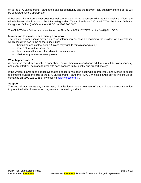on to the LTA Safeguarding Team at the earliest opportunity and the relevant local authority and the police will be contacted, where appropriate.

If, however, the whistle blower does not feel comfortable raising a concern with the Club Welfare Officer, the whistle blower should contact the LTA Safeguarding Team directly on 020 8487 7000, the Local Authority Designated Officer (LADO) or the NSPCC on 0808 800 5000.

The Club Welfare Officer can be contacted on: Nick Frost 0779 102 7977 or nick.frost@GLL.ORG.

#### **Information to include when raising a concern**

The whistle blower should provide as much information as possible regarding the incident or circumstance which has given rise to the concern, including:

- their name and contact details (unless they wish to remain anonymous);
- names of individuals involved;
- date, time and location of incident/circumstance; and
- whether any witnesses were present.

#### **What happens next?**

All concerns raised by a whistle blower about the well-being of a child or an adult at risk will be taken seriously and every effort will be made to deal with each concern fairly, quickly and proportionately.

If the whistle blower does not believe that the concern has been dealt with appropriately and wishes to speak to someone outside the club or the LTA Safeguarding Team, the NSPCC Whistleblowing advice line should be contacted on 0800 028 0285 or by emailing [help@nspcc.org.uk.](mailto:help@nspcc.org.uk)

#### **Support**

The club will not tolerate any harassment, victimisation or unfair treatment of, and will take appropriate action to protect, whistle blowers when they raise a concern in good faith.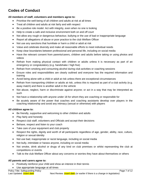# **Codes of Conduct**

#### **All members of staff, volunteers and members agree to:**

- Prioritise the well-being of all children and adults at risk at all times
- Treat all children and adults at risk fairly and with respect
- Be a positive role model. Act with integrity, even when no one is looking
- Help to create a safe and inclusive environment both on and off court
- Not allow any rough or dangerous behaviour, bullying or the use of bad or inappropriate language
- Report all allegations of abuse or poor practice to the club Welfare Officer
- Not use any sanctions that humiliate or harm a child or adult at risk
- Value and celebrate diversity and make all reasonable efforts to meet individual needs
- Keep clear boundaries between professional and personal life, including on social media
- Have the relevant consent from parents/carers, children and adults before taking or using photos and videos
- Refrain from making physical contact with children or adults unless it is necessary as part of an emergency or congratulatory (e.g. handshake / high five)
- Refrain from smoking and consuming alcohol during club activities or coaching sessions
- Ensure roles and responsibilities are clearly outlined and everyone has the required information and training
- Avoid being alone with a child or adult at risk unless there are exceptional circumstances
- Refrain from transporting children or adults at risk, unless this is required as part of a club activity (e.g. away match) and there is another adult in the vehicle
- Not abuse, neglect, harm or discriminate against anyone; or act in a way that may be interpreted as such
- Not have a relationship with anyone under 18 for whom they are coaching or responsible for
- Be acutely aware of the power that coaches and coaching assistants develop over players in the coaching relationship and avoid any intimacy (sexual or otherwise) with players

#### **All children agree to:**

- Be friendly, supportive and welcoming to other children and adults
- Play fairly and honestly
- Respect club staff, volunteers and Officials and accept their decisions
- Behave, respect and listen to your coach
- Take care of your equipment and club property
- Respect the rights, dignity and worth of all participants regardless of age, gender, ability, race, culture, religion or sexual identity
- Not use bad, inappropriate or racist language, including on social media
- Not bully, intimidate or harass anyone, including on social media
- Not smoke, drink alcohol or drugs of any kind on club premises or whilst representing the club at competitions or events
- Talk to the club Welfare Officer about any concerns or worries they have about themselves or others

#### **All parents and carers agree to:**

- Positively reinforce your child and show an interest in their tennis
- Use appropriate language at all times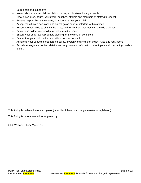- Be realistic and supportive
- Never ridicule or admonish a child for making a mistake or losing a match
- Treat all children, adults, volunteers, coaches, officials and members of staff with respect
- Behave responsibly at the venue; do not embarrass your child
- Accept the official's decisions and do not go on court or interfere with matches
- Encourage your child to play by the rules, and teach them that they can only do their best
- Deliver and collect your child punctually from the venue
- Ensure your child has appropriate clothing for the weather conditions
- Ensure that your child understands their code of conduct
- Adhere to your venue's safeguarding policy, diversity and inclusion policy, rules and regulations
- Provide emergency contact details and any relevant information about your child including medical history

This Policy is reviewed every two years (or earlier if there is a change in national legislation).

This Policy is recommended for approval by:

Club Welfare Officer *Nick Frost*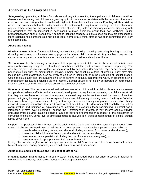# **Appendix A: Glossary of Terms**

**Safeguarding:** protecting **children** from abuse and neglect, preventing the impairment of children's health or development, ensuring that children are growing up in circumstances consistent with the provision of safe and effective care, and taking action to enable all children to have the best life chances. Enabling **adults at risk** to achieve the outcomes that matter to them in their life; protecting their right to live in safety, free from abuse and neglect. Empowering and supporting them to make choices, stay safe and raise any concerns. Beginning with the assumption that an individual is best-placed to make decisions about their own wellbeing, taking proportional action on their behalf only if someone lacks the capacity to make a decision, they are exposed to a life-threatening risk, someone else may be at risk of harm, or a criminal offence has been committed or is likely to be committed.

#### **Abuse and neglect**

**Physical abuse:** A form of abuse which may involve hitting, shaking, throwing, poisoning, burning or scalding, drowning, suffocating or otherwise causing physical harm to a child or adult at risk. Physical harm may also be caused when a parent or carer fabricates the symptoms of, or deliberately induces illness

**Sexual abuse:** Involves forcing or enticing a child or young person to take part in abuse sexual activities, not necessarily involving a high level of violence, whether or not the child is aware of what is happening. The activities may involve physical contact, including assault by penetration (for example, rape or oral sex) or nonpenetrative acts such as masturbation, kissing, rubbing and touching outside of clothing. They may also include non-contact activities, such as involving children in looking at, or in the production of, sexual images, watching sexual activities, encouraging children to behave in sexually inappropriate ways, or grooming a child in preparation for abuse (including via the internet). Sexual abuse is not solely perpetrated by adult males. Women can also commit acts of sexual abuse, as can other children

**Emotional abuse:** The persistent emotional maltreatment of a child or adult at risk such as to cause severe and persistent adverse effects on their emotional development. It may involve conveying to a child/ adult at risk that they are worthless or unloved, inadequate, or valued only insofar as they meet the needs of another person; not giving them opportunities to express their views; deliberately silencing them or 'making fun' of what they say or how they communicate. It may feature age or developmentally inappropriate expectations being imposed, including interactions that are beyond a child or adult at risk's developmental capability, as well as overprotection and limitation of exploration and learning, or preventing them participating in normal social interaction. It may involve seeing or hearing the ill-treatment of another. It may involve serious bullying (including cyber bullying), causing a child or adult at risk to feel frightened or in danger, or the exploitation or corruption of children. Some level of emotional abuse is involved in all types of maltreatment of a child, though it may occur alone.

**Neglect:** The persistent failure to meet a child/ adult at risk's basic physical and/or psychological needs, likely to result in the serious impairment of their health or development. It may involve a parent or carer failing to:

- $\circ$  provide adequate food, clothing and shelter (including exclusion from home or abandonment);
- o protect a child/ adult at risk from physical and emotional harm or danger;
- o ensure adequate supervision (including the use of inadequate care-givers); or
- o ensure access to appropriate medical care or treatment.

It may also include neglect of, or unresponsiveness to, a child's or adult at risk's basic emotional needs. Neglect may occur during pregnancy as a result of maternal substance abuse.

#### **Additional examples of abuse and neglect of adults at risk**

**Financial abuse**: having money or property stolen; being defrauded; being put under pressure in relation to money or other property; and having money or other property misused.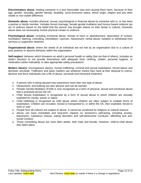**Discriminatory abuse**: treating someone in a less favourable way and causing them harm, because of their age, gender, sexuality, gender identity, disability, socio-economic status, ethnic origin, religion and any other visible or non-visible difference.

**Domestic abuse**: includes physical, sexual, psychological or financial abuse by someone who is, or has been a partner or family member. Includes forced marriage, female genital mutilation and honour-based violence (an act of violence based on the belief that the person has brought shame on their family or culture). Domestic abuse does not necessarily involve physical contact or violence.

**Psychological abuse:** including emotional abuse, threats of harm or abandonment, deprivation of contact, humiliation, blaming, controlling, intimidation, coercion, harassment, verbal abuse, isolation or withdrawal from services or supportive networks.

**Organisational abuse**: where the needs of an individual are not met by an organisation due to a culture of poor practice or abusive behavior within the organisation.

**Self-neglect:** behavior which threatens an adult's personal health or safety (but not that of others). Includes an adult's decision to not provide themselves with adequate food, clothing, shelter, personal hygiene, or medication (when indicated), or take appropriate safety precautions

**Modern slavery**: encompasses slavery, human trafficking, criminal and sexual exploitation, forced labour and domestic servitude. Traffickers and slave masters use whatever means they have at their disposal to coerce, deceive and force individuals into a life of abuse, servitude and inhumane treatment.

- A person who is being abused may experience more than one type of abuse
- Harassment, and bullying are also abusive and can be harmful
- Female Genital Mutilation (FGM) is now recognised as a form of physical, sexual and emotional abuse that is practised across the UK
- Child Sexual Exploitation is recognised as a form of sexual abuse in which children are sexually exploited for money, power or status
- Child trafficking is recognised as child abuse where children are often subject to multiple forms of exploitation. Children are recruited, moved or transported to, or within the UK, then exploited, forced to work or sold
- People from all cultures are subject to abuse. It cannot be condoned for religious or cultural reasons
- Abuse can have immediate and long-term impacts on someone's well-being, including anxiety, depression, substance misuse, eating disorders and self-destructive Conducts, offending and antisocial Conduct
- Those committing abuse are most often adults, both male and female. However, child-to-child abuse also takes place.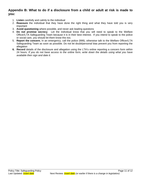### **Appendix B: What to do if a disclosure from a child or adult at risk is made to you:**

- 1. **Listen** carefully and calmly to the individual
- 2. **Reassure** the individual that they have done the right thing and what they have told you is very important
- 3. **Avoid questioning** where possible, and never ask leading questions
- 4. **Do not promise secrecy**. Let the individual know that you will need to speak to the Welfare Officer/LTA Safeguarding Team because it is in their best interest. If you intend to speak to the police or social care, you should let them know this too.
- 5. **Report the concern.** In an emergency, call the police (999), otherwise talk to the Welfare Officer/LTA Safeguarding Team as soon as possible. Do not let doubt/personal bias prevent you from reporting the allegation
- **6. Record** details of the disclosure and allegation using the LTA's online reporting a concern form within 24 hours*. If you do not have access to the online form, write down the details using what you have available then sign and date it.*